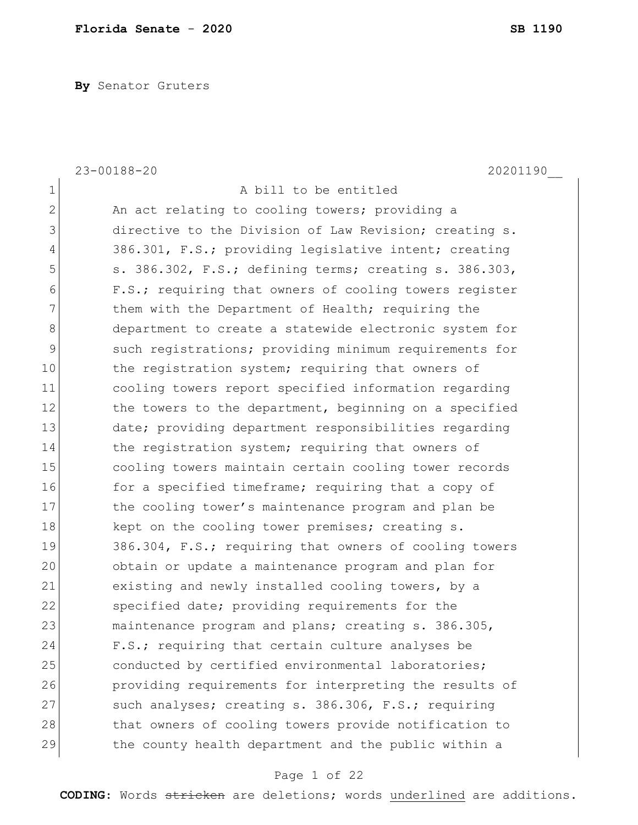**By** Senator Gruters

|              | $23 - 00188 - 20$<br>20201190                          |
|--------------|--------------------------------------------------------|
| $\mathbf 1$  | A bill to be entitled                                  |
| $\mathbf{2}$ | An act relating to cooling towers; providing a         |
| 3            | directive to the Division of Law Revision; creating s. |
| 4            | 386.301, F.S.; providing legislative intent; creating  |
| 5            | s. 386.302, F.S.; defining terms; creating s. 386.303, |
| 6            | F.S.; requiring that owners of cooling towers register |
| 7            | them with the Department of Health; requiring the      |
| 8            | department to create a statewide electronic system for |
| 9            | such registrations; providing minimum requirements for |
| 10           | the registration system; requiring that owners of      |
| 11           | cooling towers report specified information regarding  |
| 12           | the towers to the department, beginning on a specified |
| 13           | date; providing department responsibilities regarding  |
| 14           | the registration system; requiring that owners of      |
| 15           | cooling towers maintain certain cooling tower records  |
| 16           | for a specified timeframe; requiring that a copy of    |
| 17           | the cooling tower's maintenance program and plan be    |
| 18           | kept on the cooling tower premises; creating s.        |
| 19           | 386.304, F.S.; requiring that owners of cooling towers |
| 20           | obtain or update a maintenance program and plan for    |
| 21           | existing and newly installed cooling towers, by a      |
| 22           | specified date; providing requirements for the         |
| 23           | maintenance program and plans; creating s. 386.305,    |
| 24           | F.S.; requiring that certain culture analyses be       |
| 25           | conducted by certified environmental laboratories;     |
| 26           | providing requirements for interpreting the results of |
| 27           | such analyses; creating s. 386.306, F.S.; requiring    |
| 28           | that owners of cooling towers provide notification to  |
| 29           | the county health department and the public within a   |

# Page 1 of 22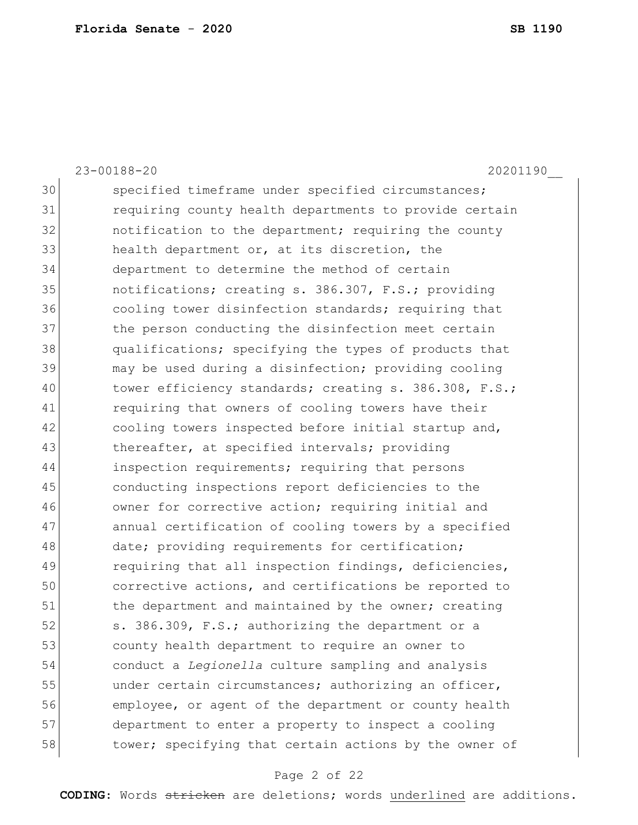|    | $23 - 00188 - 20$<br>20201190                          |
|----|--------------------------------------------------------|
| 30 | specified timeframe under specified circumstances;     |
| 31 | requiring county health departments to provide certain |
| 32 | notification to the department; requiring the county   |
| 33 | health department or, at its discretion, the           |
| 34 | department to determine the method of certain          |
| 35 | notifications; creating s. 386.307, F.S.; providing    |
| 36 | cooling tower disinfection standards; requiring that   |
| 37 | the person conducting the disinfection meet certain    |
| 38 | qualifications; specifying the types of products that  |
| 39 | may be used during a disinfection; providing cooling   |
| 40 | tower efficiency standards; creating s. 386.308, F.S.; |
| 41 | requiring that owners of cooling towers have their     |
| 42 | cooling towers inspected before initial startup and,   |
| 43 | thereafter, at specified intervals; providing          |
| 44 | inspection requirements; requiring that persons        |
| 45 | conducting inspections report deficiencies to the      |
| 46 | owner for corrective action; requiring initial and     |
| 47 | annual certification of cooling towers by a specified  |
| 48 | date; providing requirements for certification;        |
| 49 | requiring that all inspection findings, deficiencies,  |
| 50 | corrective actions, and certifications be reported to  |
| 51 | the department and maintained by the owner; creating   |
| 52 | s. 386.309, F.S.; authorizing the department or a      |
| 53 | county health department to require an owner to        |
| 54 | conduct a Legionella culture sampling and analysis     |
| 55 | under certain circumstances; authorizing an officer,   |
| 56 | employee, or agent of the department or county health  |
| 57 | department to enter a property to inspect a cooling    |
| 58 | tower; specifying that certain actions by the owner of |

# Page 2 of 22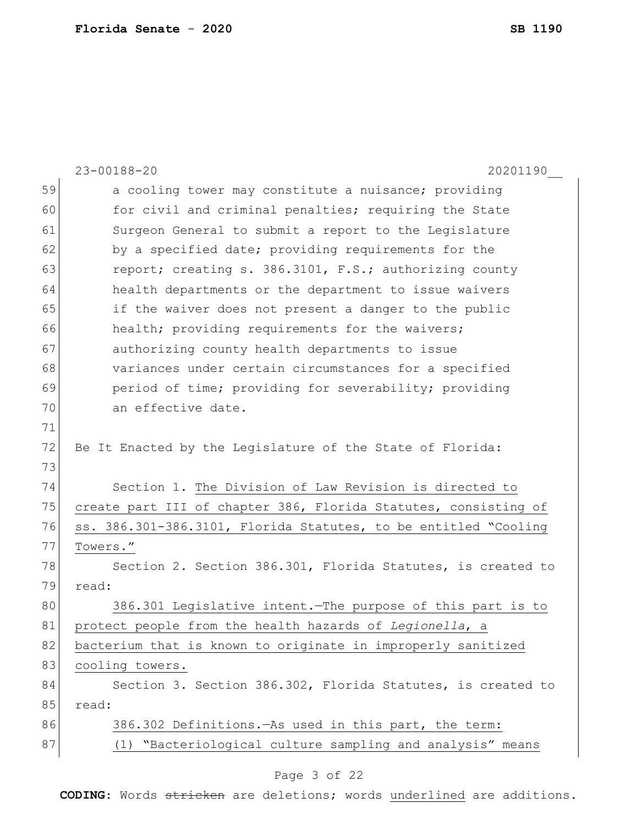|    | 23-00188-20<br>20201190                                         |
|----|-----------------------------------------------------------------|
| 59 | a cooling tower may constitute a nuisance; providing            |
| 60 | for civil and criminal penalties; requiring the State           |
| 61 | Surgeon General to submit a report to the Legislature           |
| 62 | by a specified date; providing requirements for the             |
| 63 | report; creating s. 386.3101, F.S.; authorizing county          |
| 64 | health departments or the department to issue waivers           |
| 65 | if the waiver does not present a danger to the public           |
| 66 | health; providing requirements for the waivers;                 |
| 67 | authorizing county health departments to issue                  |
| 68 | variances under certain circumstances for a specified           |
| 69 | period of time; providing for severability; providing           |
| 70 | an effective date.                                              |
| 71 |                                                                 |
| 72 | Be It Enacted by the Legislature of the State of Florida:       |
| 73 |                                                                 |
| 74 | Section 1. The Division of Law Revision is directed to          |
| 75 | create part III of chapter 386, Florida Statutes, consisting of |
| 76 | ss. 386.301-386.3101, Florida Statutes, to be entitled "Cooling |
| 77 | Towers."                                                        |
| 78 | Section 2. Section 386.301, Florida Statutes, is created to     |
| 79 | read:                                                           |
| 80 | 386.301 Legislative intent. The purpose of this part is to      |
| 81 | protect people from the health hazards of Legionella, a         |
| 82 | bacterium that is known to originate in improperly sanitized    |
| 83 | cooling towers.                                                 |
| 84 | Section 3. Section 386.302, Florida Statutes, is created to     |
| 85 | read:                                                           |
| 86 | 386.302 Definitions. - As used in this part, the term:          |
| 87 | "Bacteriological culture sampling and analysis" means<br>(1)    |
|    |                                                                 |

# Page 3 of 22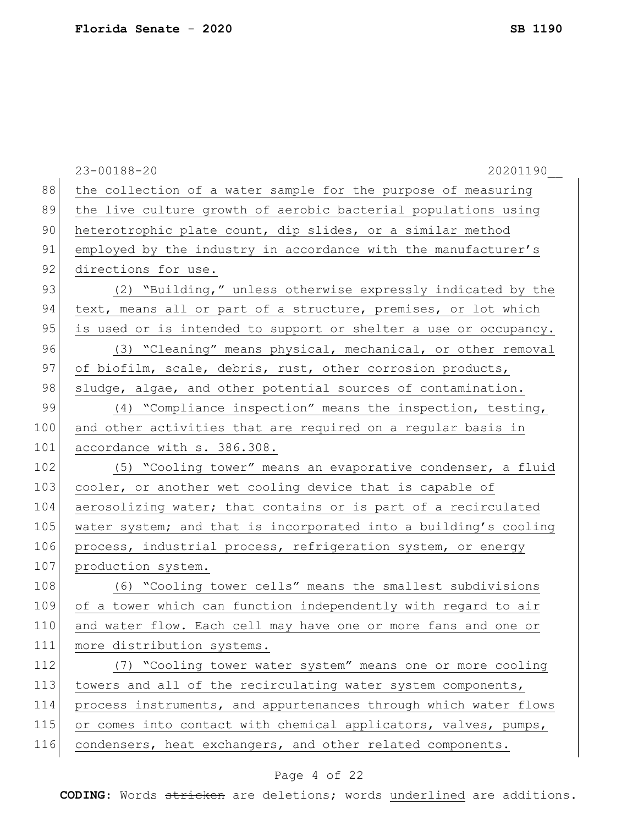|     | $23 - 00188 - 20$<br>20201190                                    |
|-----|------------------------------------------------------------------|
| 88  | the collection of a water sample for the purpose of measuring    |
| 89  | the live culture growth of aerobic bacterial populations using   |
| 90  | heterotrophic plate count, dip slides, or a similar method       |
| 91  | employed by the industry in accordance with the manufacturer's   |
| 92  | directions for use.                                              |
| 93  | (2) "Building," unless otherwise expressly indicated by the      |
| 94  | text, means all or part of a structure, premises, or lot which   |
| 95  | is used or is intended to support or shelter a use or occupancy. |
| 96  | (3) "Cleaning" means physical, mechanical, or other removal      |
| 97  | of biofilm, scale, debris, rust, other corrosion products,       |
| 98  | sludge, algae, and other potential sources of contamination.     |
| 99  | (4) "Compliance inspection" means the inspection, testing,       |
| 100 | and other activities that are required on a regular basis in     |
| 101 | accordance with s. 386.308.                                      |
| 102 | (5) "Cooling tower" means an evaporative condenser, a fluid      |
| 103 | cooler, or another wet cooling device that is capable of         |
| 104 | aerosolizing water; that contains or is part of a recirculated   |
| 105 | water system; and that is incorporated into a building's cooling |
| 106 | process, industrial process, refrigeration system, or energy     |
| 107 | production system.                                               |
| 108 | (6) "Cooling tower cells" means the smallest subdivisions        |
| 109 | of a tower which can function independently with regard to air   |
| 110 | and water flow. Each cell may have one or more fans and one or   |
| 111 | more distribution systems.                                       |
| 112 | (7) "Cooling tower water system" means one or more cooling       |
| 113 | towers and all of the recirculating water system components,     |
| 114 | process instruments, and appurtenances through which water flows |
| 115 | or comes into contact with chemical applicators, valves, pumps,  |
| 116 | condensers, heat exchangers, and other related components.       |
|     |                                                                  |

# Page 4 of 22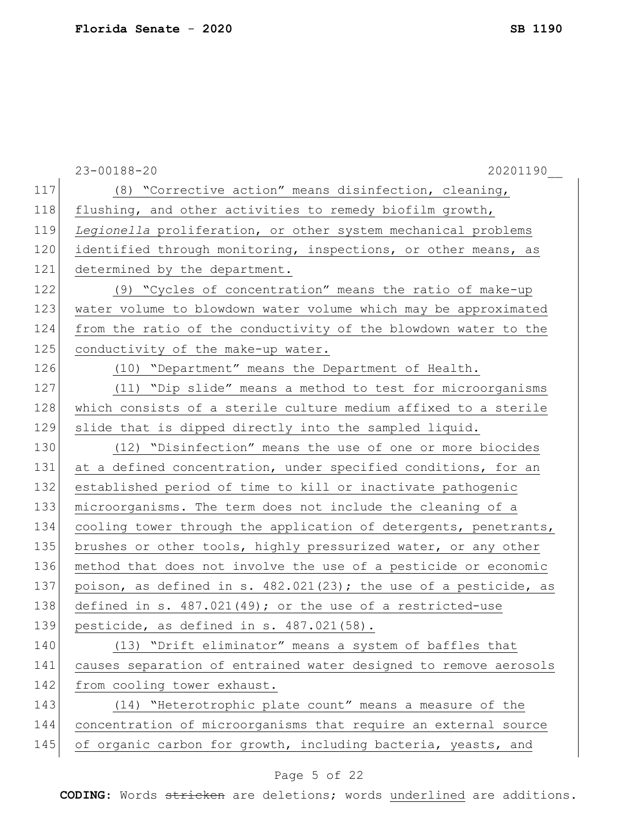|     | $23 - 00188 - 20$<br>20201190                                    |
|-----|------------------------------------------------------------------|
| 117 | (8) "Corrective action" means disinfection, cleaning,            |
| 118 | flushing, and other activities to remedy biofilm growth,         |
| 119 | Legionella proliferation, or other system mechanical problems    |
| 120 | identified through monitoring, inspections, or other means, as   |
| 121 | determined by the department.                                    |
| 122 | (9) "Cycles of concentration" means the ratio of make-up         |
| 123 | water volume to blowdown water volume which may be approximated  |
| 124 | from the ratio of the conductivity of the blowdown water to the  |
| 125 | conductivity of the make-up water.                               |
| 126 | (10) "Department" means the Department of Health.                |
| 127 | (11) "Dip slide" means a method to test for microorganisms       |
| 128 | which consists of a sterile culture medium affixed to a sterile  |
| 129 | slide that is dipped directly into the sampled liquid.           |
| 130 | (12) "Disinfection" means the use of one or more biocides        |
| 131 | at a defined concentration, under specified conditions, for an   |
| 132 | established period of time to kill or inactivate pathogenic      |
| 133 | microorganisms. The term does not include the cleaning of a      |
| 134 | cooling tower through the application of detergents, penetrants, |
| 135 | brushes or other tools, highly pressurized water, or any other   |
| 136 | method that does not involve the use of a pesticide or economic  |
| 137 | poison, as defined in s. 482.021(23); the use of a pesticide, as |
| 138 | defined in s. $487.021(49)$ ; or the use of a restricted-use     |
| 139 | pesticide, as defined in s. 487.021(58).                         |
| 140 | (13) "Drift eliminator" means a system of baffles that           |
| 141 | causes separation of entrained water designed to remove aerosols |
| 142 | from cooling tower exhaust.                                      |
| 143 | (14) "Heterotrophic plate count" means a measure of the          |
| 144 | concentration of microorganisms that require an external source  |
| 145 | of organic carbon for growth, including bacteria, yeasts, and    |
|     |                                                                  |

# Page 5 of 22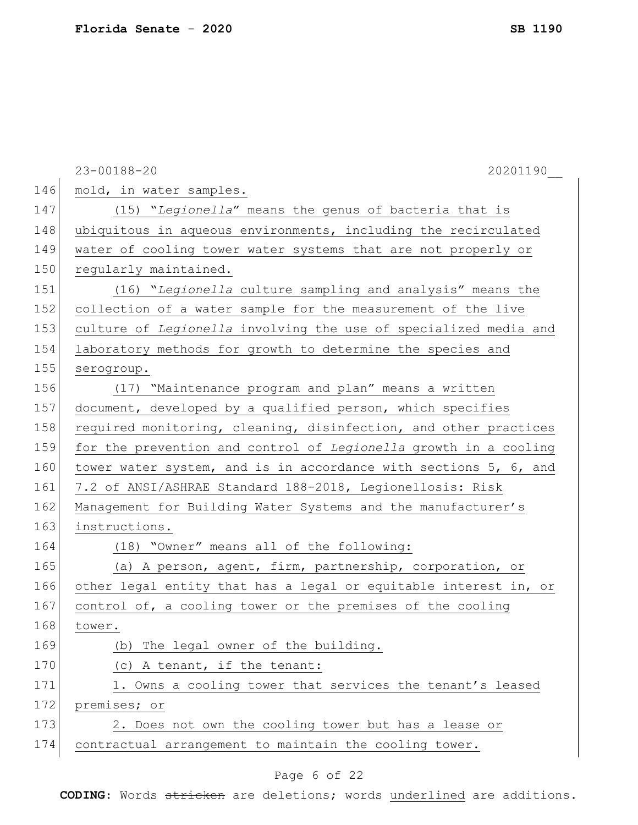|     | $23 - 00188 - 20$<br>20201190                                    |
|-----|------------------------------------------------------------------|
| 146 | mold, in water samples.                                          |
| 147 | (15) "Legionella" means the genus of bacteria that is            |
| 148 | ubiquitous in aqueous environments, including the recirculated   |
| 149 | water of cooling tower water systems that are not properly or    |
| 150 | regularly maintained.                                            |
| 151 | (16) "Legionella culture sampling and analysis" means the        |
| 152 | collection of a water sample for the measurement of the live     |
| 153 | culture of Legionella involving the use of specialized media and |
| 154 | laboratory methods for growth to determine the species and       |
| 155 | serogroup.                                                       |
| 156 | (17) "Maintenance program and plan" means a written              |
| 157 | document, developed by a qualified person, which specifies       |
| 158 | required monitoring, cleaning, disinfection, and other practices |
| 159 | for the prevention and control of Legionella growth in a cooling |
| 160 | tower water system, and is in accordance with sections 5, 6, and |
| 161 | 7.2 of ANSI/ASHRAE Standard 188-2018, Legionellosis: Risk        |
| 162 | Management for Building Water Systems and the manufacturer's     |
| 163 | instructions.                                                    |
| 164 | (18) "Owner" means all of the following:                         |
| 165 | (a) A person, agent, firm, partnership, corporation, or          |
| 166 | other legal entity that has a legal or equitable interest in, or |
| 167 | control of, a cooling tower or the premises of the cooling       |
| 168 | tower.                                                           |
| 169 | (b) The legal owner of the building.                             |
| 170 | (c) A tenant, if the tenant:                                     |
| 171 | 1. Owns a cooling tower that services the tenant's leased        |
| 172 | premises; or                                                     |
| 173 | 2. Does not own the cooling tower but has a lease or             |
| 174 | contractual arrangement to maintain the cooling tower.           |

# Page 6 of 22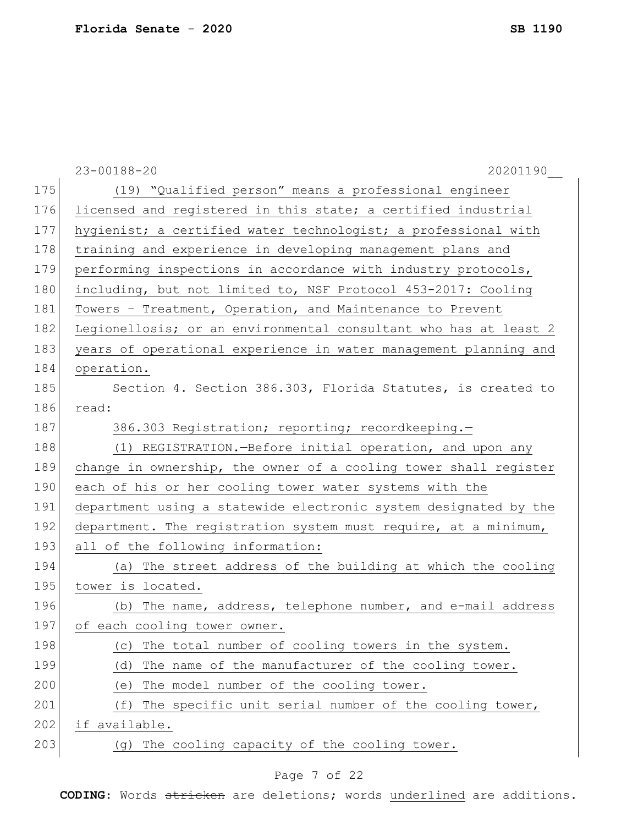|     | $23 - 00188 - 20$<br>20201190                                    |
|-----|------------------------------------------------------------------|
| 175 | (19) "Qualified person" means a professional engineer            |
| 176 | licensed and registered in this state; a certified industrial    |
| 177 | hygienist; a certified water technologist; a professional with   |
| 178 | training and experience in developing management plans and       |
| 179 | performing inspections in accordance with industry protocols,    |
| 180 | including, but not limited to, NSF Protocol 453-2017: Cooling    |
| 181 | Towers - Treatment, Operation, and Maintenance to Prevent        |
| 182 | Legionellosis; or an environmental consultant who has at least 2 |
| 183 | years of operational experience in water management planning and |
| 184 | operation.                                                       |
| 185 | Section 4. Section 386.303, Florida Statutes, is created to      |
| 186 | read:                                                            |
| 187 | 386.303 Registration; reporting; recordkeeping.-                 |
| 188 | (1) REGISTRATION.-Before initial operation, and upon any         |
| 189 | change in ownership, the owner of a cooling tower shall register |
| 190 | each of his or her cooling tower water systems with the          |
| 191 | department using a statewide electronic system designated by the |
| 192 | department. The registration system must require, at a minimum,  |
| 193 | all of the following information:                                |
| 194 | The street address of the building at which the cooling<br>(a)   |
| 195 | tower is located.                                                |
| 196 | (b) The name, address, telephone number, and e-mail address      |
| 197 | of each cooling tower owner.                                     |
| 198 | The total number of cooling towers in the system.<br>(C)         |
| 199 | The name of the manufacturer of the cooling tower.<br>(d)        |
| 200 | The model number of the cooling tower.<br>(e)                    |
| 201 | (f)<br>The specific unit serial number of the cooling tower,     |
| 202 | if available.                                                    |
| 203 | (g) The cooling capacity of the cooling tower.                   |

# Page 7 of 22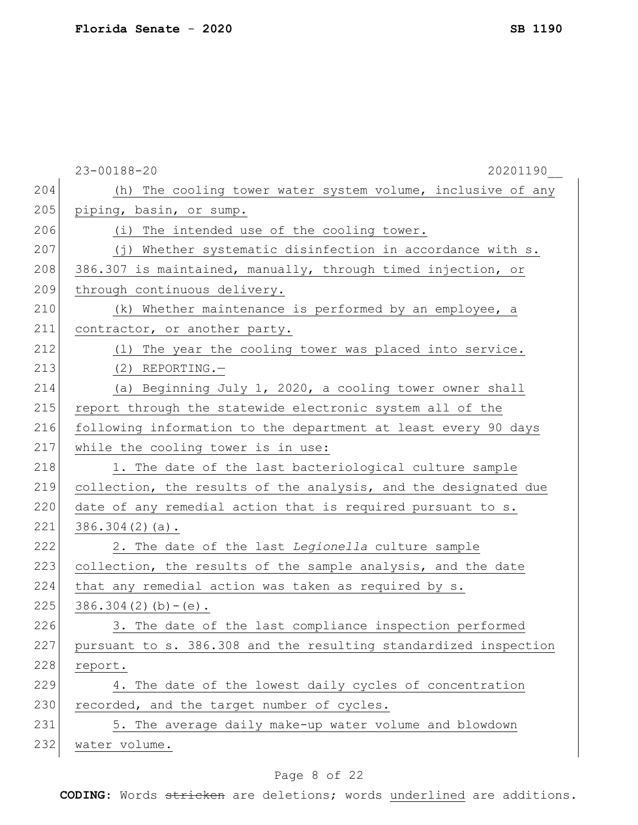|     | $23 - 00188 - 20$<br>20201190                                    |
|-----|------------------------------------------------------------------|
| 204 | (h) The cooling tower water system volume, inclusive of any      |
| 205 | piping, basin, or sump.                                          |
| 206 | (i) The intended use of the cooling tower.                       |
| 207 | (j) Whether systematic disinfection in accordance with s.        |
| 208 | 386.307 is maintained, manually, through timed injection, or     |
| 209 | through continuous delivery.                                     |
| 210 | (k) Whether maintenance is performed by an employee, a           |
| 211 | contractor, or another party.                                    |
| 212 | (1) The year the cooling tower was placed into service.          |
| 213 | $(2)$ REPORTING.                                                 |
| 214 | (a) Beginning July 1, 2020, a cooling tower owner shall          |
| 215 | report through the statewide electronic system all of the        |
| 216 | following information to the department at least every 90 days   |
| 217 | while the cooling tower is in use:                               |
| 218 | 1. The date of the last bacteriological culture sample           |
| 219 | collection, the results of the analysis, and the designated due  |
| 220 | date of any remedial action that is required pursuant to s.      |
| 221 | $386.304(2)(a)$ .                                                |
| 222 | 2. The date of the last Legionella culture sample                |
| 223 | collection, the results of the sample analysis, and the date     |
| 224 | that any remedial action was taken as required by s.             |
| 225 | $386.304(2)(b)-(e)$ .                                            |
| 226 | 3. The date of the last compliance inspection performed          |
| 227 | pursuant to s. 386.308 and the resulting standardized inspection |
| 228 | report.                                                          |
| 229 | 4. The date of the lowest daily cycles of concentration          |
| 230 | recorded, and the target number of cycles.                       |
| 231 | 5. The average daily make-up water volume and blowdown           |
| 232 | water volume.                                                    |
|     |                                                                  |

# Page 8 of 22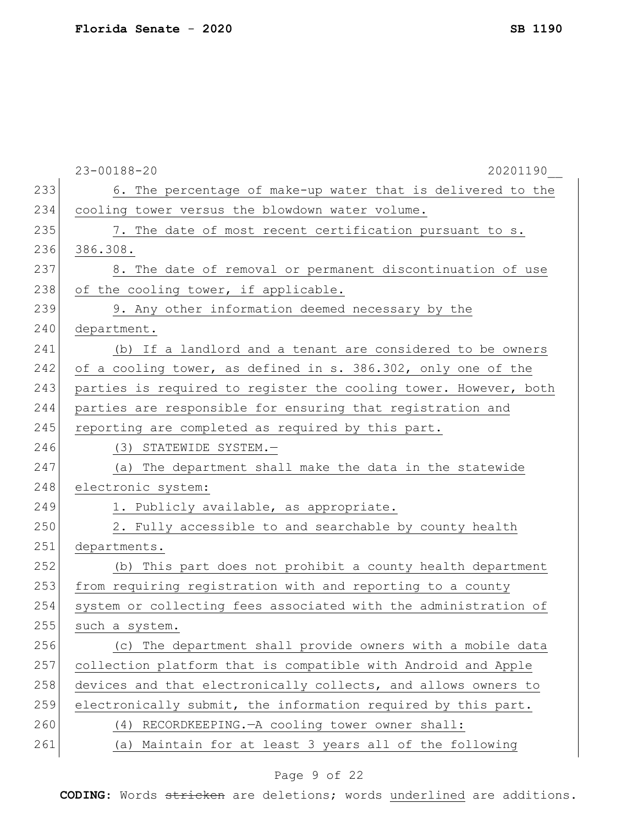| 233<br>6. The percentage of make-up water that is delivered to the<br>234<br>cooling tower versus the blowdown water volume.<br>235<br>7. The date of most recent certification pursuant to s.<br>236<br>386.308.<br>237<br>8. The date of removal or permanent discontinuation of use<br>238<br>of the cooling tower, if applicable.<br>239<br>9. Any other information deemed necessary by the<br>240<br>department.<br>241<br>(b) If a landlord and a tenant are considered to be owners<br>of a cooling tower, as defined in s. 386.302, only one of the<br>242<br>243<br>parties is required to register the cooling tower. However, both<br>244<br>parties are responsible for ensuring that registration and<br>245<br>reporting are completed as required by this part.<br>246<br>(3) STATEWIDE SYSTEM.-<br>247<br>(a) The department shall make the data in the statewide<br>248<br>electronic system:<br>249<br>1. Publicly available, as appropriate.<br>250<br>2. Fully accessible to and searchable by county health<br>251<br>departments.<br>252<br>(b) This part does not prohibit a county health department<br>253<br>from requiring registration with and reporting to a county<br>254<br>system or collecting fees associated with the administration of<br>255<br>such a system.<br>256<br>(c) The department shall provide owners with a mobile data<br>257<br>collection platform that is compatible with Android and Apple<br>258<br>devices and that electronically collects, and allows owners to<br>259<br>electronically submit, the information required by this part.<br>260<br>(4) RECORDKEEPING. - A cooling tower owner shall:<br>261<br>(a) Maintain for at least 3 years all of the following | $23 - 00188 - 20$<br>20201190 |
|----------------------------------------------------------------------------------------------------------------------------------------------------------------------------------------------------------------------------------------------------------------------------------------------------------------------------------------------------------------------------------------------------------------------------------------------------------------------------------------------------------------------------------------------------------------------------------------------------------------------------------------------------------------------------------------------------------------------------------------------------------------------------------------------------------------------------------------------------------------------------------------------------------------------------------------------------------------------------------------------------------------------------------------------------------------------------------------------------------------------------------------------------------------------------------------------------------------------------------------------------------------------------------------------------------------------------------------------------------------------------------------------------------------------------------------------------------------------------------------------------------------------------------------------------------------------------------------------------------------------------------------------------------------------------------------------------------------------------------|-------------------------------|
|                                                                                                                                                                                                                                                                                                                                                                                                                                                                                                                                                                                                                                                                                                                                                                                                                                                                                                                                                                                                                                                                                                                                                                                                                                                                                                                                                                                                                                                                                                                                                                                                                                                                                                                                  |                               |
|                                                                                                                                                                                                                                                                                                                                                                                                                                                                                                                                                                                                                                                                                                                                                                                                                                                                                                                                                                                                                                                                                                                                                                                                                                                                                                                                                                                                                                                                                                                                                                                                                                                                                                                                  |                               |
|                                                                                                                                                                                                                                                                                                                                                                                                                                                                                                                                                                                                                                                                                                                                                                                                                                                                                                                                                                                                                                                                                                                                                                                                                                                                                                                                                                                                                                                                                                                                                                                                                                                                                                                                  |                               |
|                                                                                                                                                                                                                                                                                                                                                                                                                                                                                                                                                                                                                                                                                                                                                                                                                                                                                                                                                                                                                                                                                                                                                                                                                                                                                                                                                                                                                                                                                                                                                                                                                                                                                                                                  |                               |
|                                                                                                                                                                                                                                                                                                                                                                                                                                                                                                                                                                                                                                                                                                                                                                                                                                                                                                                                                                                                                                                                                                                                                                                                                                                                                                                                                                                                                                                                                                                                                                                                                                                                                                                                  |                               |
|                                                                                                                                                                                                                                                                                                                                                                                                                                                                                                                                                                                                                                                                                                                                                                                                                                                                                                                                                                                                                                                                                                                                                                                                                                                                                                                                                                                                                                                                                                                                                                                                                                                                                                                                  |                               |
|                                                                                                                                                                                                                                                                                                                                                                                                                                                                                                                                                                                                                                                                                                                                                                                                                                                                                                                                                                                                                                                                                                                                                                                                                                                                                                                                                                                                                                                                                                                                                                                                                                                                                                                                  |                               |
|                                                                                                                                                                                                                                                                                                                                                                                                                                                                                                                                                                                                                                                                                                                                                                                                                                                                                                                                                                                                                                                                                                                                                                                                                                                                                                                                                                                                                                                                                                                                                                                                                                                                                                                                  |                               |
|                                                                                                                                                                                                                                                                                                                                                                                                                                                                                                                                                                                                                                                                                                                                                                                                                                                                                                                                                                                                                                                                                                                                                                                                                                                                                                                                                                                                                                                                                                                                                                                                                                                                                                                                  |                               |
|                                                                                                                                                                                                                                                                                                                                                                                                                                                                                                                                                                                                                                                                                                                                                                                                                                                                                                                                                                                                                                                                                                                                                                                                                                                                                                                                                                                                                                                                                                                                                                                                                                                                                                                                  |                               |
|                                                                                                                                                                                                                                                                                                                                                                                                                                                                                                                                                                                                                                                                                                                                                                                                                                                                                                                                                                                                                                                                                                                                                                                                                                                                                                                                                                                                                                                                                                                                                                                                                                                                                                                                  |                               |
|                                                                                                                                                                                                                                                                                                                                                                                                                                                                                                                                                                                                                                                                                                                                                                                                                                                                                                                                                                                                                                                                                                                                                                                                                                                                                                                                                                                                                                                                                                                                                                                                                                                                                                                                  |                               |
|                                                                                                                                                                                                                                                                                                                                                                                                                                                                                                                                                                                                                                                                                                                                                                                                                                                                                                                                                                                                                                                                                                                                                                                                                                                                                                                                                                                                                                                                                                                                                                                                                                                                                                                                  |                               |
|                                                                                                                                                                                                                                                                                                                                                                                                                                                                                                                                                                                                                                                                                                                                                                                                                                                                                                                                                                                                                                                                                                                                                                                                                                                                                                                                                                                                                                                                                                                                                                                                                                                                                                                                  |                               |
|                                                                                                                                                                                                                                                                                                                                                                                                                                                                                                                                                                                                                                                                                                                                                                                                                                                                                                                                                                                                                                                                                                                                                                                                                                                                                                                                                                                                                                                                                                                                                                                                                                                                                                                                  |                               |
|                                                                                                                                                                                                                                                                                                                                                                                                                                                                                                                                                                                                                                                                                                                                                                                                                                                                                                                                                                                                                                                                                                                                                                                                                                                                                                                                                                                                                                                                                                                                                                                                                                                                                                                                  |                               |
|                                                                                                                                                                                                                                                                                                                                                                                                                                                                                                                                                                                                                                                                                                                                                                                                                                                                                                                                                                                                                                                                                                                                                                                                                                                                                                                                                                                                                                                                                                                                                                                                                                                                                                                                  |                               |
|                                                                                                                                                                                                                                                                                                                                                                                                                                                                                                                                                                                                                                                                                                                                                                                                                                                                                                                                                                                                                                                                                                                                                                                                                                                                                                                                                                                                                                                                                                                                                                                                                                                                                                                                  |                               |
|                                                                                                                                                                                                                                                                                                                                                                                                                                                                                                                                                                                                                                                                                                                                                                                                                                                                                                                                                                                                                                                                                                                                                                                                                                                                                                                                                                                                                                                                                                                                                                                                                                                                                                                                  |                               |
|                                                                                                                                                                                                                                                                                                                                                                                                                                                                                                                                                                                                                                                                                                                                                                                                                                                                                                                                                                                                                                                                                                                                                                                                                                                                                                                                                                                                                                                                                                                                                                                                                                                                                                                                  |                               |
|                                                                                                                                                                                                                                                                                                                                                                                                                                                                                                                                                                                                                                                                                                                                                                                                                                                                                                                                                                                                                                                                                                                                                                                                                                                                                                                                                                                                                                                                                                                                                                                                                                                                                                                                  |                               |
|                                                                                                                                                                                                                                                                                                                                                                                                                                                                                                                                                                                                                                                                                                                                                                                                                                                                                                                                                                                                                                                                                                                                                                                                                                                                                                                                                                                                                                                                                                                                                                                                                                                                                                                                  |                               |
|                                                                                                                                                                                                                                                                                                                                                                                                                                                                                                                                                                                                                                                                                                                                                                                                                                                                                                                                                                                                                                                                                                                                                                                                                                                                                                                                                                                                                                                                                                                                                                                                                                                                                                                                  |                               |
|                                                                                                                                                                                                                                                                                                                                                                                                                                                                                                                                                                                                                                                                                                                                                                                                                                                                                                                                                                                                                                                                                                                                                                                                                                                                                                                                                                                                                                                                                                                                                                                                                                                                                                                                  |                               |
|                                                                                                                                                                                                                                                                                                                                                                                                                                                                                                                                                                                                                                                                                                                                                                                                                                                                                                                                                                                                                                                                                                                                                                                                                                                                                                                                                                                                                                                                                                                                                                                                                                                                                                                                  |                               |
|                                                                                                                                                                                                                                                                                                                                                                                                                                                                                                                                                                                                                                                                                                                                                                                                                                                                                                                                                                                                                                                                                                                                                                                                                                                                                                                                                                                                                                                                                                                                                                                                                                                                                                                                  |                               |
|                                                                                                                                                                                                                                                                                                                                                                                                                                                                                                                                                                                                                                                                                                                                                                                                                                                                                                                                                                                                                                                                                                                                                                                                                                                                                                                                                                                                                                                                                                                                                                                                                                                                                                                                  |                               |
|                                                                                                                                                                                                                                                                                                                                                                                                                                                                                                                                                                                                                                                                                                                                                                                                                                                                                                                                                                                                                                                                                                                                                                                                                                                                                                                                                                                                                                                                                                                                                                                                                                                                                                                                  |                               |
|                                                                                                                                                                                                                                                                                                                                                                                                                                                                                                                                                                                                                                                                                                                                                                                                                                                                                                                                                                                                                                                                                                                                                                                                                                                                                                                                                                                                                                                                                                                                                                                                                                                                                                                                  |                               |

# Page 9 of 22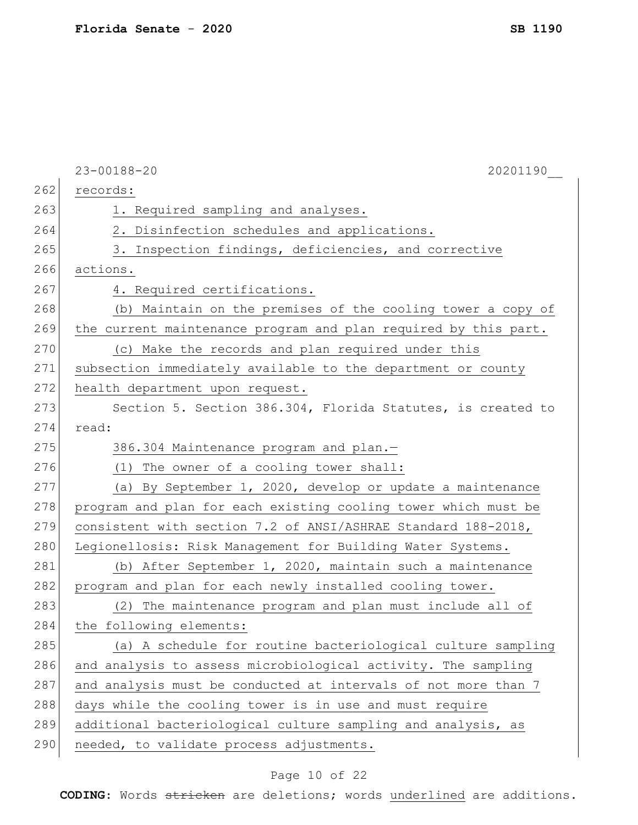|     | $23 - 00188 - 20$<br>20201190                                   |
|-----|-----------------------------------------------------------------|
| 262 | records:                                                        |
| 263 | 1. Required sampling and analyses.                              |
| 264 | 2. Disinfection schedules and applications.                     |
| 265 | 3. Inspection findings, deficiencies, and corrective            |
| 266 | actions.                                                        |
| 267 | 4. Required certifications.                                     |
| 268 | (b) Maintain on the premises of the cooling tower a copy of     |
| 269 | the current maintenance program and plan required by this part. |
| 270 | (c) Make the records and plan required under this               |
| 271 | subsection immediately available to the department or county    |
| 272 | health department upon request.                                 |
| 273 | Section 5. Section 386.304, Florida Statutes, is created to     |
| 274 | read:                                                           |
| 275 | 386.304 Maintenance program and plan.-                          |
| 276 | (1) The owner of a cooling tower shall:                         |
| 277 | (a) By September 1, 2020, develop or update a maintenance       |
| 278 | program and plan for each existing cooling tower which must be  |
| 279 | consistent with section 7.2 of ANSI/ASHRAE Standard 188-2018,   |
| 280 | Legionellosis: Risk Management for Building Water Systems.      |
| 281 | (b) After September 1, 2020, maintain such a maintenance        |
| 282 | program and plan for each newly installed cooling tower.        |
| 283 | (2) The maintenance program and plan must include all of        |
| 284 | the following elements:                                         |
| 285 | (a) A schedule for routine bacteriological culture sampling     |
| 286 | and analysis to assess microbiological activity. The sampling   |
| 287 | and analysis must be conducted at intervals of not more than 7  |
| 288 | days while the cooling tower is in use and must require         |
| 289 | additional bacteriological culture sampling and analysis, as    |
| 290 | needed, to validate process adjustments.                        |
|     |                                                                 |

# Page 10 of 22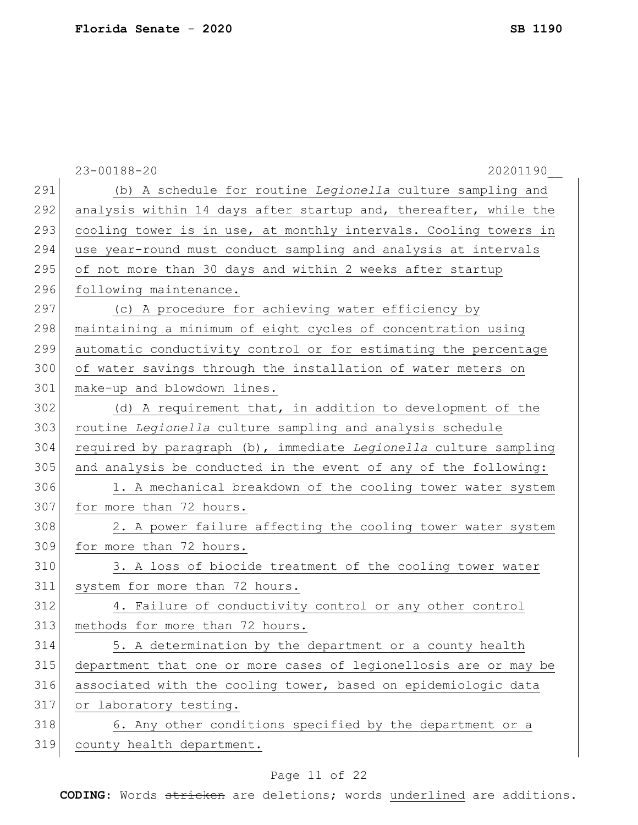|     | $23 - 00188 - 20$<br>20201190                                    |
|-----|------------------------------------------------------------------|
| 291 | (b) A schedule for routine Legionella culture sampling and       |
| 292 | analysis within 14 days after startup and, thereafter, while the |
| 293 | cooling tower is in use, at monthly intervals. Cooling towers in |
| 294 | use year-round must conduct sampling and analysis at intervals   |
| 295 | of not more than 30 days and within 2 weeks after startup        |
| 296 | following maintenance.                                           |
| 297 | (c) A procedure for achieving water efficiency by                |
| 298 | maintaining a minimum of eight cycles of concentration using     |
| 299 | automatic conductivity control or for estimating the percentage  |
| 300 | of water savings through the installation of water meters on     |
| 301 | make-up and blowdown lines.                                      |
| 302 | (d) A requirement that, in addition to development of the        |
| 303 | routine Legionella culture sampling and analysis schedule        |
| 304 | required by paragraph (b), immediate Legionella culture sampling |
| 305 | and analysis be conducted in the event of any of the following:  |
| 306 | 1. A mechanical breakdown of the cooling tower water system      |
| 307 | for more than 72 hours.                                          |
| 308 | 2. A power failure affecting the cooling tower water system      |
| 309 | for more than 72 hours.                                          |
| 310 | 3. A loss of biocide treatment of the cooling tower water        |
| 311 | system for more than 72 hours.                                   |
| 312 | 4. Failure of conductivity control or any other control          |
| 313 | methods for more than 72 hours.                                  |
| 314 | 5. A determination by the department or a county health          |
| 315 | department that one or more cases of legionellosis are or may be |
| 316 | associated with the cooling tower, based on epidemiologic data   |
|     |                                                                  |
| 317 | or laboratory testing.                                           |
| 318 | 6. Any other conditions specified by the department or a         |

# Page 11 of 22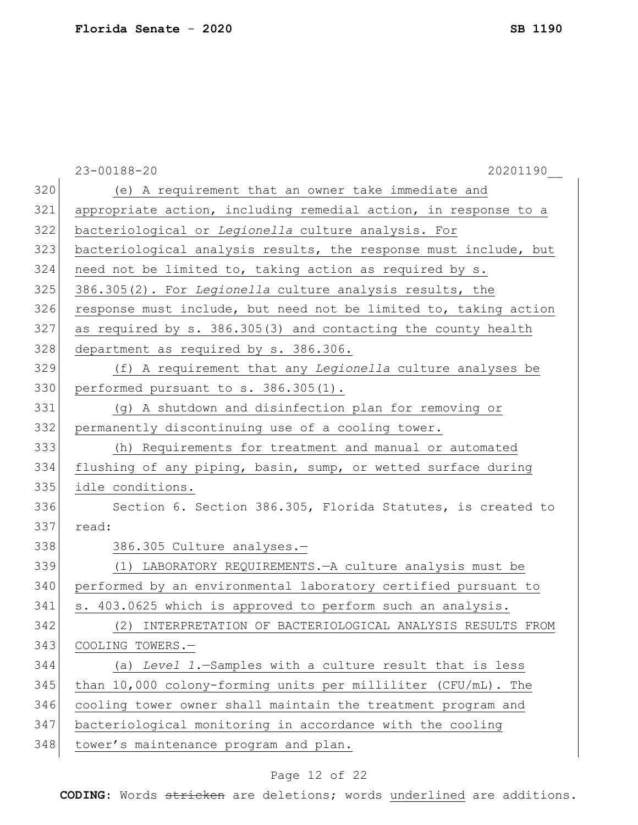|     | $23 - 00188 - 20$<br>20201190                                    |
|-----|------------------------------------------------------------------|
| 320 | (e) A requirement that an owner take immediate and               |
| 321 | appropriate action, including remedial action, in response to a  |
| 322 | bacteriological or Legionella culture analysis. For              |
| 323 | bacteriological analysis results, the response must include, but |
| 324 | need not be limited to, taking action as required by s.          |
| 325 | 386.305(2). For Legionella culture analysis results, the         |
| 326 | response must include, but need not be limited to, taking action |
| 327 | as required by s. 386.305(3) and contacting the county health    |
| 328 | department as required by s. 386.306.                            |
| 329 | (f) A requirement that any Legionella culture analyses be        |
| 330 | performed pursuant to s. 386.305(1).                             |
| 331 | (g) A shutdown and disinfection plan for removing or             |
| 332 | permanently discontinuing use of a cooling tower.                |
| 333 | (h) Requirements for treatment and manual or automated           |
| 334 | flushing of any piping, basin, sump, or wetted surface during    |
| 335 | idle conditions.                                                 |
| 336 | Section 6. Section 386.305, Florida Statutes, is created to      |
| 337 | read:                                                            |
| 338 | 386.305 Culture analyses.-                                       |
| 339 | (1) LABORATORY REQUIREMENTS. - A culture analysis must be        |
| 340 | performed by an environmental laboratory certified pursuant to   |
| 341 | s. 403.0625 which is approved to perform such an analysis.       |
| 342 | (2) INTERPRETATION OF BACTERIOLOGICAL ANALYSIS RESULTS FROM      |
| 343 | COOLING TOWERS.-                                                 |
| 344 | (a) Level 1.-Samples with a culture result that is less          |
| 345 | than 10,000 colony-forming units per milliliter (CFU/mL). The    |
| 346 | cooling tower owner shall maintain the treatment program and     |
| 347 | bacteriological monitoring in accordance with the cooling        |
| 348 | tower's maintenance program and plan.                            |
|     |                                                                  |

# Page 12 of 22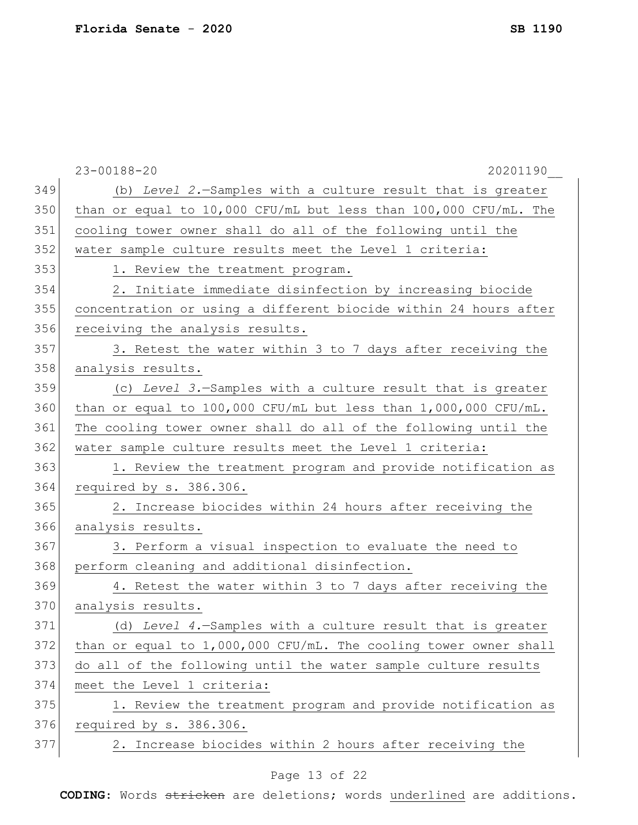|     | $23 - 00188 - 20$<br>20201190                                     |
|-----|-------------------------------------------------------------------|
| 349 | (b) Level 2.-Samples with a culture result that is greater        |
| 350 | than or equal to 10,000 CFU/mL but less than 100,000 CFU/mL. The  |
| 351 | cooling tower owner shall do all of the following until the       |
| 352 | water sample culture results meet the Level 1 criteria:           |
| 353 | 1. Review the treatment program.                                  |
| 354 | 2. Initiate immediate disinfection by increasing biocide          |
| 355 | concentration or using a different biocide within 24 hours after  |
| 356 | receiving the analysis results.                                   |
| 357 | 3. Retest the water within 3 to 7 days after receiving the        |
| 358 | analysis results.                                                 |
| 359 | (c) Level 3.-Samples with a culture result that is greater        |
| 360 | than or equal to 100,000 CFU/mL but less than $1,000,000$ CFU/mL. |
| 361 | The cooling tower owner shall do all of the following until the   |
| 362 | water sample culture results meet the Level 1 criteria:           |
| 363 | 1. Review the treatment program and provide notification as       |
| 364 | required by s. 386.306.                                           |
| 365 | 2. Increase biocides within 24 hours after receiving the          |
| 366 | analysis results.                                                 |
| 367 | 3. Perform a visual inspection to evaluate the need to            |
| 368 | perform cleaning and additional disinfection.                     |
| 369 | 4. Retest the water within 3 to 7 days after receiving the        |
| 370 | analysis results.                                                 |
| 371 | (d) Level 4. - Samples with a culture result that is greater      |
| 372 | than or equal to 1,000,000 CFU/mL. The cooling tower owner shall  |
| 373 | do all of the following until the water sample culture results    |
| 374 | meet the Level 1 criteria:                                        |
| 375 | 1. Review the treatment program and provide notification as       |
| 376 | required by s. 386.306.                                           |
| 377 | 2. Increase biocides within 2 hours after receiving the           |
|     |                                                                   |

# Page 13 of 22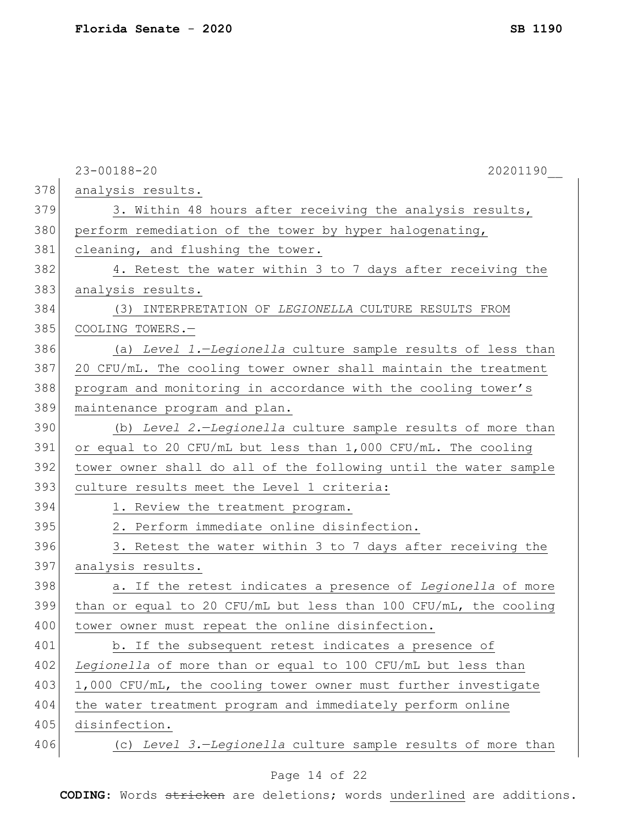|     | $23 - 00188 - 20$<br>20201190                                    |
|-----|------------------------------------------------------------------|
| 378 | analysis results.                                                |
| 379 | 3. Within 48 hours after receiving the analysis results,         |
| 380 | perform remediation of the tower by hyper halogenating,          |
| 381 | cleaning, and flushing the tower.                                |
| 382 | 4. Retest the water within 3 to 7 days after receiving the       |
| 383 | analysis results.                                                |
| 384 | (3) INTERPRETATION OF LEGIONELLA CULTURE RESULTS FROM            |
| 385 | COOLING TOWERS.-                                                 |
| 386 | (a) Level 1.-Legionella culture sample results of less than      |
| 387 | 20 CFU/mL. The cooling tower owner shall maintain the treatment  |
| 388 | program and monitoring in accordance with the cooling tower's    |
| 389 | maintenance program and plan.                                    |
| 390 | (b) Level 2.-Legionella culture sample results of more than      |
| 391 | or equal to 20 CFU/mL but less than 1,000 CFU/mL. The cooling    |
| 392 | tower owner shall do all of the following until the water sample |
| 393 | culture results meet the Level 1 criteria:                       |
| 394 | 1. Review the treatment program.                                 |
| 395 | 2. Perform immediate online disinfection.                        |
| 396 | 3. Retest the water within 3 to 7 days after receiving the       |
| 397 | analysis results.                                                |
| 398 | a. If the retest indicates a presence of Legionella of more      |
| 399 | than or equal to 20 CFU/mL but less than 100 CFU/mL, the cooling |
| 400 | tower owner must repeat the online disinfection.                 |
| 401 | b. If the subsequent retest indicates a presence of              |
| 402 | Legionella of more than or equal to 100 CFU/mL but less than     |
| 403 | 1,000 CFU/mL, the cooling tower owner must further investigate   |
| 404 | the water treatment program and immediately perform online       |
| 405 | disinfection.                                                    |
| 406 | (c) Level 3.-Legionella culture sample results of more than      |
|     |                                                                  |

# Page 14 of 22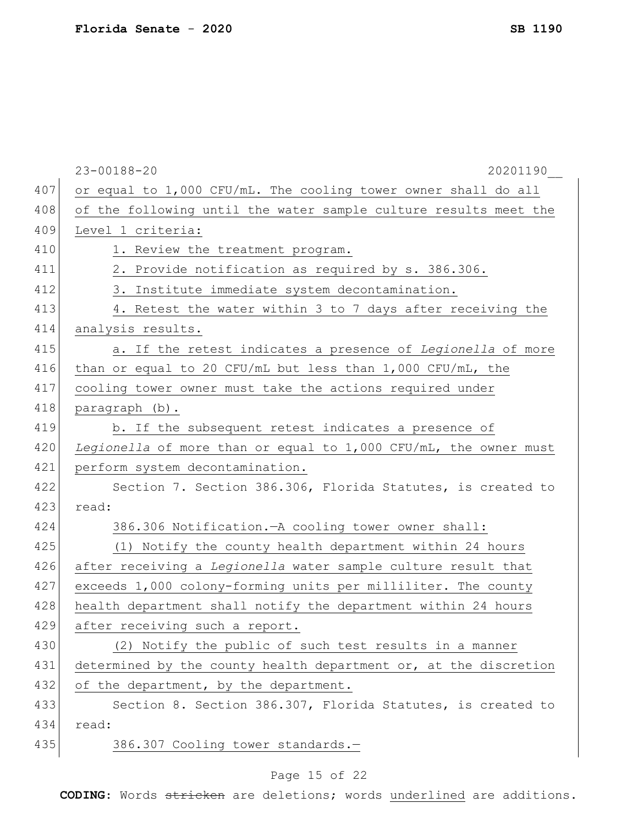|     | $23 - 00188 - 20$<br>20201190                                      |
|-----|--------------------------------------------------------------------|
| 407 | or equal to 1,000 CFU/mL. The cooling tower owner shall do all     |
| 408 | of the following until the water sample culture results meet the   |
| 409 | Level 1 criteria:                                                  |
| 410 | 1. Review the treatment program.                                   |
| 411 | 2. Provide notification as required by s. 386.306.                 |
| 412 | 3. Institute immediate system decontamination.                     |
| 413 | 4. Retest the water within 3 to 7 days after receiving the         |
| 414 | analysis results.                                                  |
| 415 | a. If the retest indicates a presence of Legionella of more        |
| 416 | than or equal to 20 CFU/mL but less than $1,000$ CFU/mL, the       |
| 417 | cooling tower owner must take the actions required under           |
| 418 | paragraph (b).                                                     |
| 419 | b. If the subsequent retest indicates a presence of                |
| 420 | Legionella of more than or equal to $1,000$ CFU/mL, the owner must |
| 421 | perform system decontamination.                                    |
| 422 | Section 7. Section 386.306, Florida Statutes, is created to        |
| 423 | read:                                                              |
| 424 | 386.306 Notification. - A cooling tower owner shall:               |
| 425 | (1) Notify the county health department within 24 hours            |
| 426 | after receiving a Legionella water sample culture result that      |
| 427 | exceeds 1,000 colony-forming units per milliliter. The county      |
| 428 | health department shall notify the department within 24 hours      |
| 429 | after receiving such a report.                                     |
| 430 | (2) Notify the public of such test results in a manner             |
| 431 | determined by the county health department or, at the discretion   |
| 432 | of the department, by the department.                              |
| 433 | Section 8. Section 386.307, Florida Statutes, is created to        |
| 434 | read:                                                              |
| 435 | 386.307 Cooling tower standards.-                                  |
|     |                                                                    |

# Page 15 of 22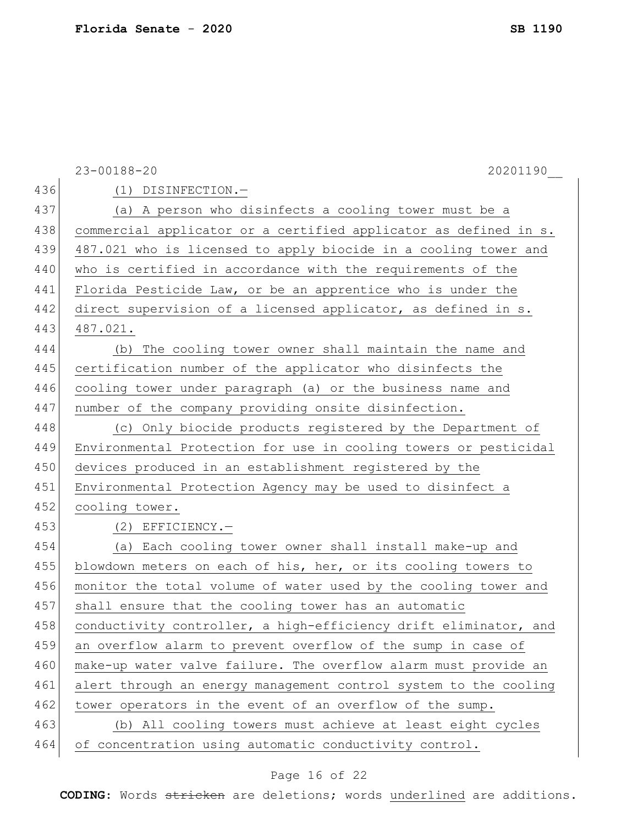|     | $23 - 00188 - 20$<br>20201190                                    |
|-----|------------------------------------------------------------------|
| 436 | (1) DISINFECTION.-                                               |
| 437 | (a) A person who disinfects a cooling tower must be a            |
| 438 | commercial applicator or a certified applicator as defined in s. |
| 439 | 487.021 who is licensed to apply biocide in a cooling tower and  |
| 440 | who is certified in accordance with the requirements of the      |
| 441 | Florida Pesticide Law, or be an apprentice who is under the      |
| 442 | direct supervision of a licensed applicator, as defined in s.    |
| 443 | 487.021.                                                         |
| 444 | (b) The cooling tower owner shall maintain the name and          |
| 445 | certification number of the applicator who disinfects the        |
| 446 | cooling tower under paragraph (a) or the business name and       |
| 447 | number of the company providing onsite disinfection.             |
| 448 | (c) Only biocide products registered by the Department of        |
| 449 | Environmental Protection for use in cooling towers or pesticidal |
| 450 | devices produced in an establishment registered by the           |
| 451 | Environmental Protection Agency may be used to disinfect a       |
| 452 | cooling tower.                                                   |
| 453 | $(2)$ EFFICIENCY.-                                               |
| 454 | (a) Each cooling tower owner shall install make-up and           |
| 455 | blowdown meters on each of his, her, or its cooling towers to    |
| 456 | monitor the total volume of water used by the cooling tower and  |
| 457 | shall ensure that the cooling tower has an automatic             |
| 458 | conductivity controller, a high-efficiency drift eliminator, and |
| 459 | an overflow alarm to prevent overflow of the sump in case of     |
| 460 | make-up water valve failure. The overflow alarm must provide an  |
| 461 | alert through an energy management control system to the cooling |
| 462 | tower operators in the event of an overflow of the sump.         |
| 463 | (b) All cooling towers must achieve at least eight cycles        |
| 464 | of concentration using automatic conductivity control.           |

# Page 16 of 22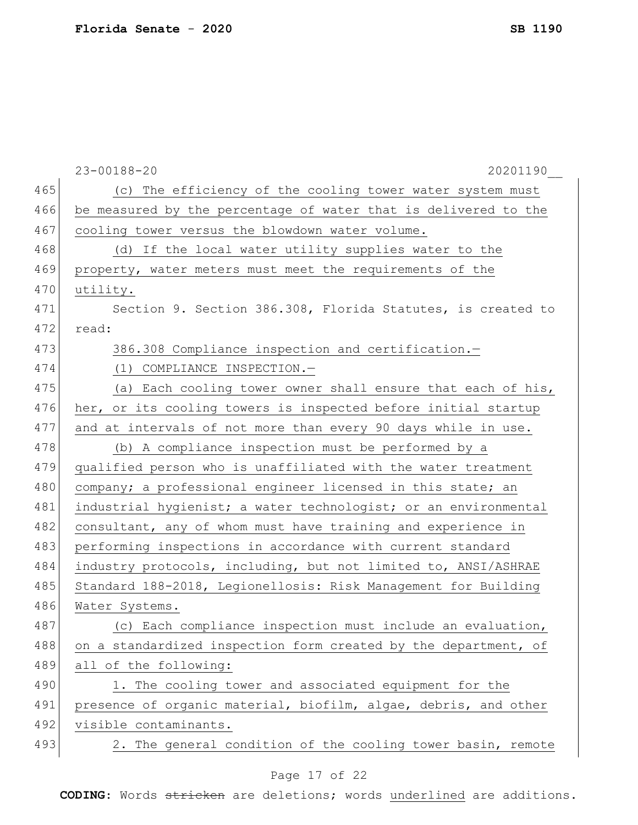|     | $23 - 00188 - 20$<br>20201190                                   |
|-----|-----------------------------------------------------------------|
| 465 | (c) The efficiency of the cooling tower water system must       |
| 466 | be measured by the percentage of water that is delivered to the |
| 467 | cooling tower versus the blowdown water volume.                 |
| 468 | (d) If the local water utility supplies water to the            |
| 469 | property, water meters must meet the requirements of the        |
| 470 | utility.                                                        |
| 471 | Section 9. Section 386.308, Florida Statutes, is created to     |
| 472 | read:                                                           |
| 473 | 386.308 Compliance inspection and certification.-               |
| 474 | (1) COMPLIANCE INSPECTION.-                                     |
| 475 | (a) Each cooling tower owner shall ensure that each of his,     |
| 476 | her, or its cooling towers is inspected before initial startup  |
| 477 | and at intervals of not more than every 90 days while in use.   |
| 478 | (b) A compliance inspection must be performed by a              |
| 479 | qualified person who is unaffiliated with the water treatment   |
| 480 | company; a professional engineer licensed in this state; an     |
| 481 | industrial hygienist; a water technologist; or an environmental |
| 482 | consultant, any of whom must have training and experience in    |
| 483 | performing inspections in accordance with current standard      |
| 484 | industry protocols, including, but not limited to, ANSI/ASHRAE  |
| 485 | Standard 188-2018, Legionellosis: Risk Management for Building  |
| 486 | Water Systems.                                                  |
| 487 | (c) Each compliance inspection must include an evaluation,      |
| 488 | on a standardized inspection form created by the department, of |
| 489 | all of the following:                                           |
| 490 | 1. The cooling tower and associated equipment for the           |
| 491 | presence of organic material, biofilm, algae, debris, and other |
| 492 | visible contaminants.                                           |
| 493 | 2. The general condition of the cooling tower basin, remote     |
|     | Page 17 of 22                                                   |

### Page 17 of 22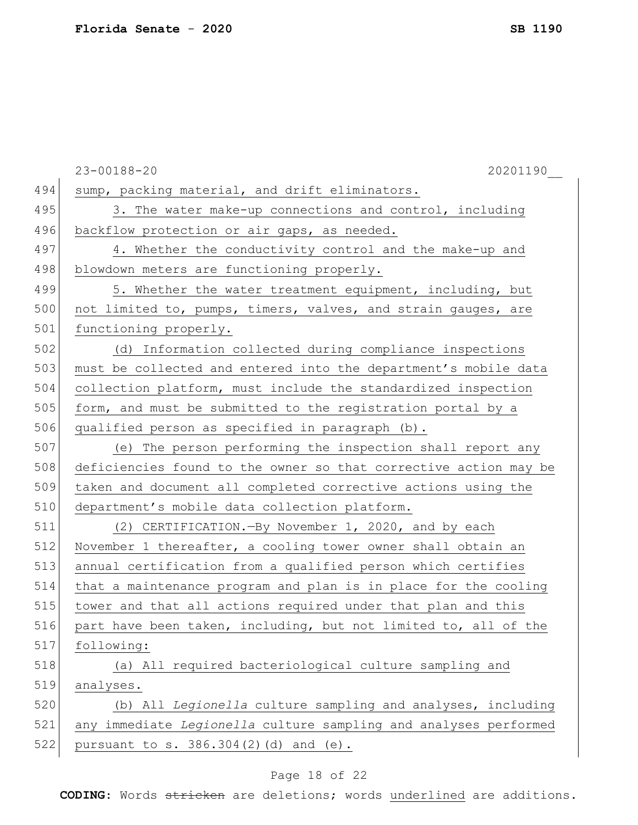|     | $23 - 00188 - 20$<br>20201190                                    |
|-----|------------------------------------------------------------------|
| 494 | sump, packing material, and drift eliminators.                   |
| 495 | 3. The water make-up connections and control, including          |
| 496 | backflow protection or air gaps, as needed.                      |
| 497 | 4. Whether the conductivity control and the make-up and          |
| 498 | blowdown meters are functioning properly.                        |
| 499 | 5. Whether the water treatment equipment, including, but         |
| 500 | not limited to, pumps, timers, valves, and strain gauges, are    |
| 501 | functioning properly.                                            |
| 502 | (d) Information collected during compliance inspections          |
| 503 | must be collected and entered into the department's mobile data  |
| 504 | collection platform, must include the standardized inspection    |
| 505 | form, and must be submitted to the registration portal by a      |
| 506 | qualified person as specified in paragraph (b).                  |
| 507 | (e) The person performing the inspection shall report any        |
| 508 | deficiencies found to the owner so that corrective action may be |
| 509 | taken and document all completed corrective actions using the    |
| 510 | department's mobile data collection platform.                    |
| 511 | (2) CERTIFICATION. - By November 1, 2020, and by each            |
| 512 | November 1 thereafter, a cooling tower owner shall obtain an     |
| 513 | annual certification from a qualified person which certifies     |
| 514 | that a maintenance program and plan is in place for the cooling  |
| 515 | tower and that all actions required under that plan and this     |
| 516 | part have been taken, including, but not limited to, all of the  |
| 517 | following:                                                       |
| 518 | (a) All required bacteriological culture sampling and            |
| 519 | analyses.                                                        |
| 520 | (b) All Legionella culture sampling and analyses, including      |
| 521 | any immediate Legionella culture sampling and analyses performed |
| 522 | pursuant to s. 386.304(2)(d) and (e).                            |
|     |                                                                  |

# Page 18 of 22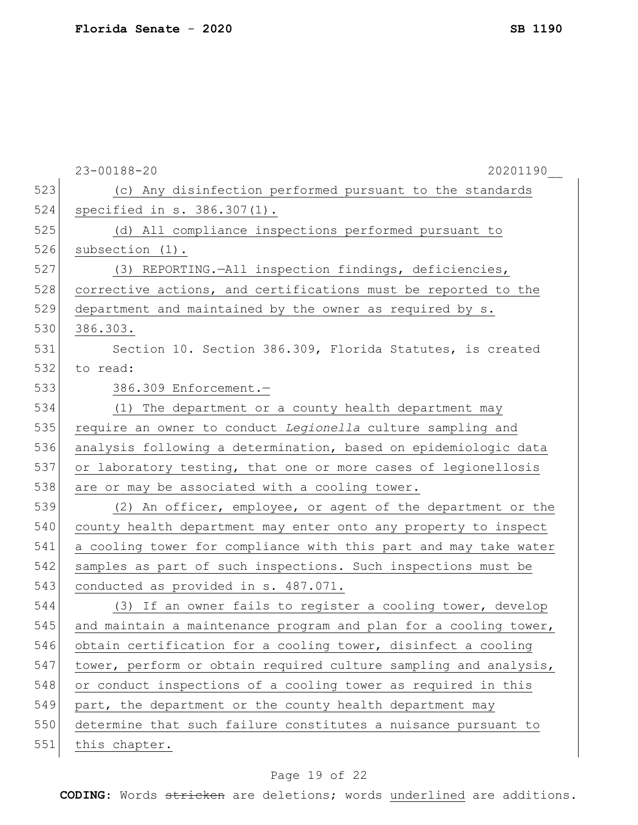|     | $23 - 00188 - 20$<br>20201190                                    |
|-----|------------------------------------------------------------------|
| 523 | (c) Any disinfection performed pursuant to the standards         |
| 524 | specified in s. 386.307(1).                                      |
| 525 | (d) All compliance inspections performed pursuant to             |
| 526 | subsection (1).                                                  |
| 527 | (3) REPORTING.-All inspection findings, deficiencies,            |
| 528 | corrective actions, and certifications must be reported to the   |
| 529 | department and maintained by the owner as required by s.         |
| 530 | 386.303.                                                         |
| 531 | Section 10. Section 386.309, Florida Statutes, is created        |
| 532 | to read:                                                         |
| 533 | 386.309 Enforcement.-                                            |
| 534 | (1) The department or a county health department may             |
| 535 | require an owner to conduct Legionella culture sampling and      |
| 536 | analysis following a determination, based on epidemiologic data  |
| 537 | or laboratory testing, that one or more cases of legionellosis   |
| 538 | are or may be associated with a cooling tower.                   |
| 539 | (2) An officer, employee, or agent of the department or the      |
| 540 | county health department may enter onto any property to inspect  |
| 541 | a cooling tower for compliance with this part and may take water |
| 542 | samples as part of such inspections. Such inspections must be    |
| 543 | conducted as provided in s. 487.071.                             |
| 544 | (3) If an owner fails to register a cooling tower, develop       |
| 545 | and maintain a maintenance program and plan for a cooling tower, |
| 546 | obtain certification for a cooling tower, disinfect a cooling    |
| 547 | tower, perform or obtain required culture sampling and analysis, |
| 548 | or conduct inspections of a cooling tower as required in this    |
| 549 | part, the department or the county health department may         |
| 550 | determine that such failure constitutes a nuisance pursuant to   |
| 551 | this chapter.                                                    |

# Page 19 of 22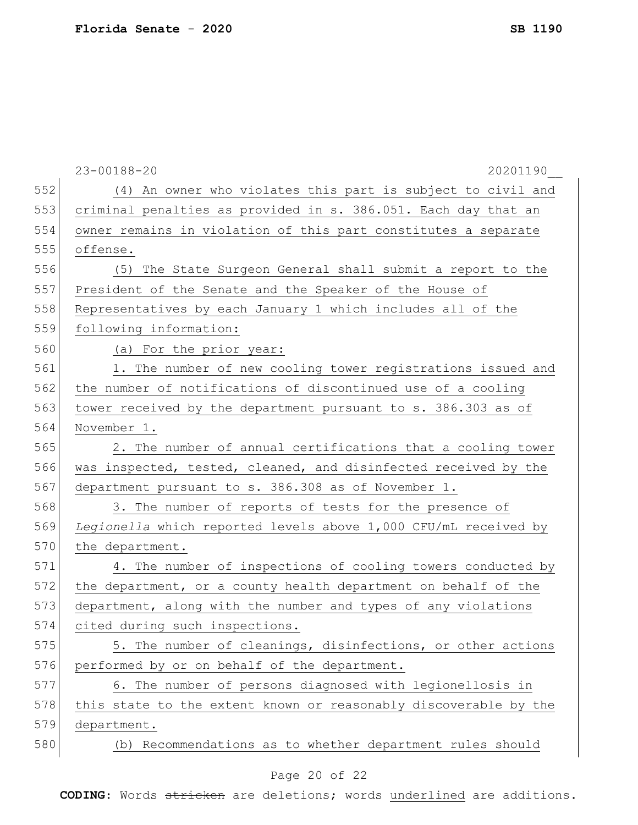|     | $23 - 00188 - 20$<br>20201190                                    |
|-----|------------------------------------------------------------------|
| 552 | (4) An owner who violates this part is subject to civil and      |
| 553 | criminal penalties as provided in s. 386.051. Each day that an   |
| 554 | owner remains in violation of this part constitutes a separate   |
| 555 | offense.                                                         |
| 556 | (5) The State Surgeon General shall submit a report to the       |
| 557 | President of the Senate and the Speaker of the House of          |
| 558 | Representatives by each January 1 which includes all of the      |
| 559 | following information:                                           |
| 560 | (a) For the prior year:                                          |
| 561 | 1. The number of new cooling tower registrations issued and      |
| 562 | the number of notifications of discontinued use of a cooling     |
| 563 | tower received by the department pursuant to s. 386.303 as of    |
| 564 | November 1.                                                      |
| 565 | 2. The number of annual certifications that a cooling tower      |
| 566 | was inspected, tested, cleaned, and disinfected received by the  |
| 567 | department pursuant to s. 386.308 as of November 1.              |
| 568 | 3. The number of reports of tests for the presence of            |
| 569 | Legionella which reported levels above 1,000 CFU/mL received by  |
| 570 | the department.                                                  |
| 571 | 4. The number of inspections of cooling towers conducted by      |
| 572 | the department, or a county health department on behalf of the   |
| 573 | department, along with the number and types of any violations    |
| 574 | cited during such inspections.                                   |
| 575 | 5. The number of cleanings, disinfections, or other actions      |
| 576 | performed by or on behalf of the department.                     |
| 577 | 6. The number of persons diagnosed with legionellosis in         |
| 578 | this state to the extent known or reasonably discoverable by the |
| 579 | department.                                                      |
| 580 | (b) Recommendations as to whether department rules should        |
|     | $\cap$ $\cap$<br>へも つつ                                           |

### Page 20 of 22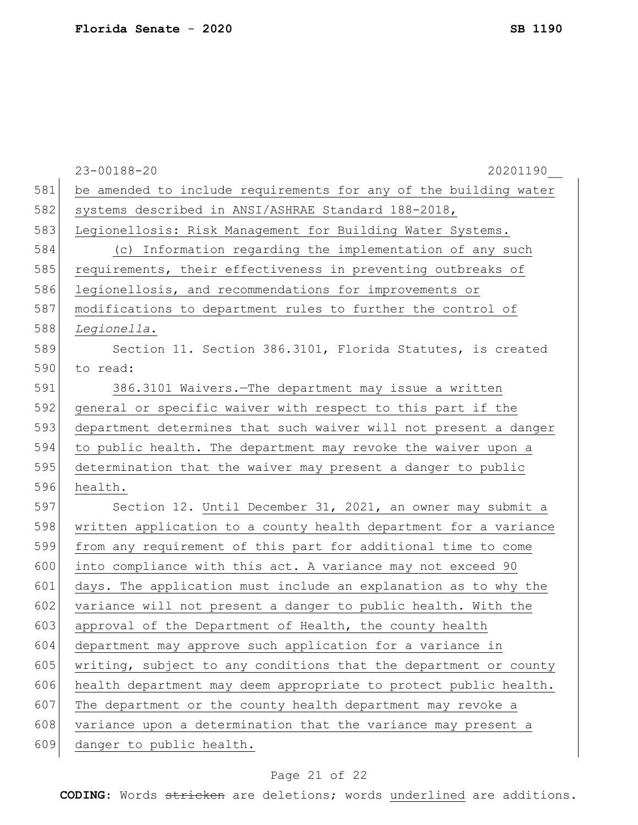|     | $23 - 00188 - 20$<br>20201190                                    |
|-----|------------------------------------------------------------------|
| 581 | be amended to include requirements for any of the building water |
| 582 | systems described in ANSI/ASHRAE Standard 188-2018,              |
| 583 | Legionellosis: Risk Management for Building Water Systems.       |
| 584 | (c) Information regarding the implementation of any such         |
| 585 | requirements, their effectiveness in preventing outbreaks of     |
| 586 | legionellosis, and recommendations for improvements or           |
| 587 | modifications to department rules to further the control of      |
| 588 | Legionella.                                                      |
| 589 | Section 11. Section 386.3101, Florida Statutes, is created       |
| 590 | to read:                                                         |
| 591 | 386.3101 Waivers. - The department may issue a written           |
| 592 | general or specific waiver with respect to this part if the      |
| 593 | department determines that such waiver will not present a danger |
| 594 | to public health. The department may revoke the waiver upon a    |
| 595 | determination that the waiver may present a danger to public     |
| 596 | health.                                                          |
| 597 | Section 12. Until December 31, 2021, an owner may submit a       |
| 598 | written application to a county health department for a variance |
| 599 | from any requirement of this part for additional time to come    |
| 600 | into compliance with this act. A variance may not exceed 90      |
| 601 | days. The application must include an explanation as to why the  |
| 602 | variance will not present a danger to public health. With the    |
| 603 | approval of the Department of Health, the county health          |
| 604 | department may approve such application for a variance in        |
| 605 | writing, subject to any conditions that the department or county |
| 606 | health department may deem appropriate to protect public health. |
| 607 | The department or the county health department may revoke a      |
| 608 | variance upon a determination that the variance may present a    |
| 609 | danger to public health.                                         |
|     |                                                                  |

# Page 21 of 22